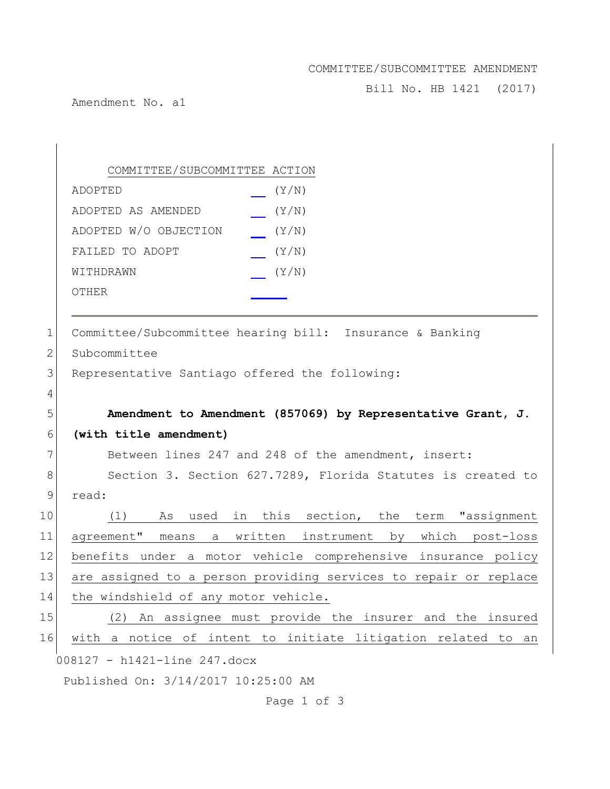## COMMITTEE/SUBCOMMITTEE AMENDMENT

Bill No. HB 1421 (2017)

Amendment No. a1

008127 - h1421-line 247.docx Published On: 3/14/2017 10:25:00 AM COMMITTEE/SUBCOMMITTEE ACTION ADOPTED (Y/N) ADOPTED AS AMENDED (Y/N) ADOPTED W/O OBJECTION (Y/N) FAILED TO ADOPT  $(Y/N)$ WITHDRAWN  $(Y/N)$ OTHER 1 Committee/Subcommittee hearing bill: Insurance & Banking 2 Subcommittee 3 Representative Santiago offered the following: 4 5 **Amendment to Amendment (857069) by Representative Grant, J.** 6 **(with title amendment)** 7 Between lines 247 and 248 of the amendment, insert: 8 Section 3. Section 627.7289, Florida Statutes is created to 9 read: 10 (1) As used in this section, the term "assignment 11 agreement" means a written instrument by which post-loss 12 benefits under a motor vehicle comprehensive insurance policy 13 are assigned to a person providing services to repair or replace 14 the windshield of any motor vehicle. 15 (2) An assignee must provide the insurer and the insured 16 with a notice of intent to initiate litigation related to an

Page 1 of 3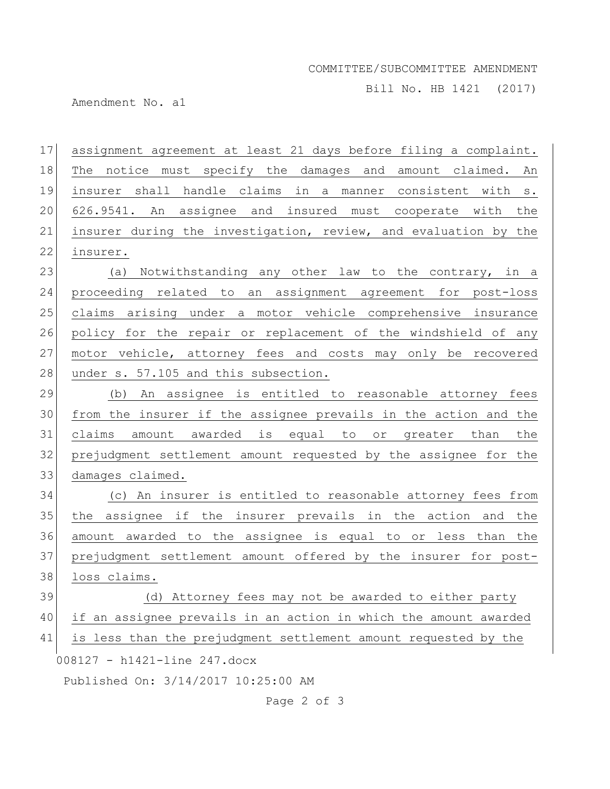## COMMITTEE/SUBCOMMITTEE AMENDMENT

Bill No. HB 1421 (2017)

Amendment No. a1

008127 - h1421-line 247.docx Published On: 3/14/2017 10:25:00 AM assignment agreement at least 21 days before filing a complaint. The notice must specify the damages and amount claimed. An insurer shall handle claims in a manner consistent with s. 626.9541. An assignee and insured must cooperate with the insurer during the investigation, review, and evaluation by the insurer. 23 (a) Notwithstanding any other law to the contrary, in a proceeding related to an assignment agreement for post-loss claims arising under a motor vehicle comprehensive insurance policy for the repair or replacement of the windshield of any motor vehicle, attorney fees and costs may only be recovered 28 under s. 57.105 and this subsection. (b) An assignee is entitled to reasonable attorney fees from the insurer if the assignee prevails in the action and the claims amount awarded is equal to or greater than the prejudgment settlement amount requested by the assignee for the damages claimed. (c) An insurer is entitled to reasonable attorney fees from the assignee if the insurer prevails in the action and the amount awarded to the assignee is equal to or less than the prejudgment settlement amount offered by the insurer for post-38 loss claims. 39 (d) Attorney fees may not be awarded to either party if an assignee prevails in an action in which the amount awarded is less than the prejudgment settlement amount requested by the

Page 2 of 3